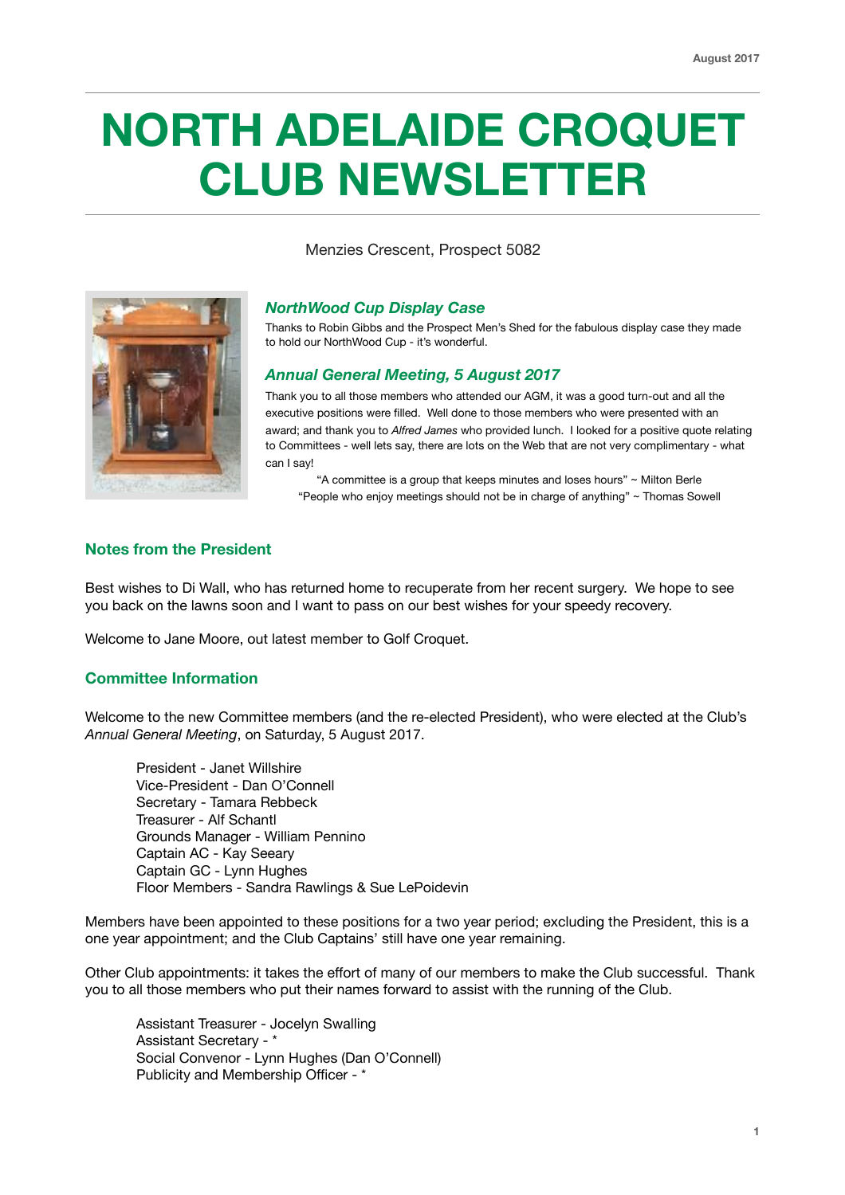# **NORTH ADELAIDE CROQUET CLUB NEWSLETTER**

Menzies Crescent, Prospect 5082



# *NorthWood Cup Display Case*

Thanks to Robin Gibbs and the Prospect Men's Shed for the fabulous display case they made to hold our NorthWood Cup - it's wonderful.

## *Annual General Meeting, 5 August 2017*

Thank you to all those members who attended our AGM, it was a good turn-out and all the executive positions were filled. Well done to those members who were presented with an award; and thank you to *Alfred James* who provided lunch. I looked for a positive quote relating to Committees - well lets say, there are lots on the Web that are not very complimentary - what can I say!

"A committee is a group that keeps minutes and loses hours" ~ Milton Berle "People who enjoy meetings should not be in charge of anything" ~ Thomas Sowell

# **Notes from the President**

Best wishes to Di Wall, who has returned home to recuperate from her recent surgery. We hope to see you back on the lawns soon and I want to pass on our best wishes for your speedy recovery.

Welcome to Jane Moore, out latest member to Golf Croquet.

# **Committee Information**

Welcome to the new Committee members (and the re-elected President), who were elected at the Club's *Annual General Meeting*, on Saturday, 5 August 2017.

President - Janet Willshire Vice-President - Dan O'Connell Secretary - Tamara Rebbeck Treasurer - Alf Schantl Grounds Manager - William Pennino Captain AC - Kay Seeary Captain GC - Lynn Hughes Floor Members - Sandra Rawlings & Sue LePoidevin

Members have been appointed to these positions for a two year period; excluding the President, this is a one year appointment; and the Club Captains' still have one year remaining.

Other Club appointments: it takes the effort of many of our members to make the Club successful. Thank you to all those members who put their names forward to assist with the running of the Club.

Assistant Treasurer - Jocelyn Swalling Assistant Secretary - \* Social Convenor - Lynn Hughes (Dan O'Connell) Publicity and Membership Officer - \*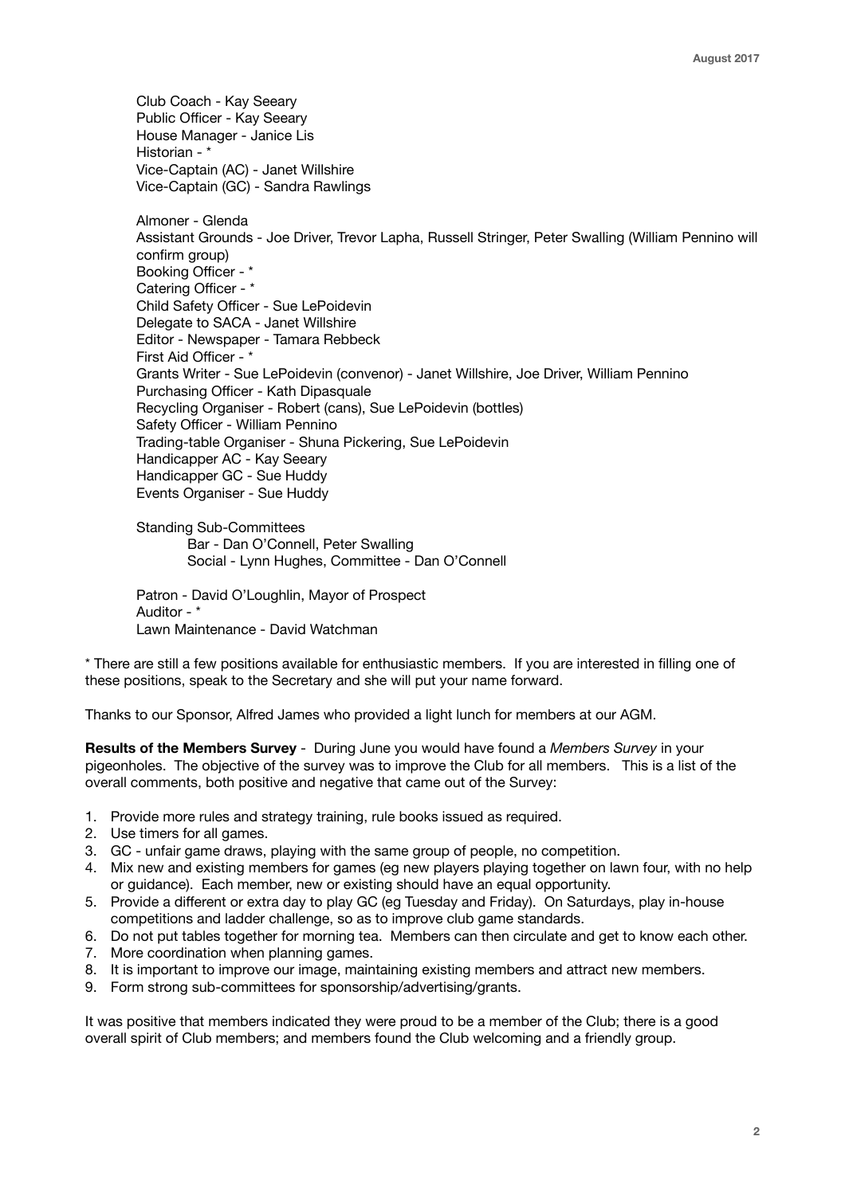Club Coach - Kay Seeary Public Officer - Kay Seeary House Manager - Janice Lis Historian - \* Vice-Captain (AC) - Janet Willshire Vice-Captain (GC) - Sandra Rawlings

Almoner - Glenda Assistant Grounds - Joe Driver, Trevor Lapha, Russell Stringer, Peter Swalling (William Pennino will confirm group) Booking Officer - \* Catering Officer - \* Child Safety Officer - Sue LePoidevin Delegate to SACA - Janet Willshire Editor - Newspaper - Tamara Rebbeck First Aid Officer - \* Grants Writer - Sue LePoidevin (convenor) - Janet Willshire, Joe Driver, William Pennino Purchasing Officer - Kath Dipasquale Recycling Organiser - Robert (cans), Sue LePoidevin (bottles) Safety Officer - William Pennino Trading-table Organiser - Shuna Pickering, Sue LePoidevin Handicapper AC - Kay Seeary Handicapper GC - Sue Huddy Events Organiser - Sue Huddy

Standing Sub-Committees Bar - Dan O'Connell, Peter Swalling Social - Lynn Hughes, Committee - Dan O'Connell

Patron - David O'Loughlin, Mayor of Prospect Auditor - \* Lawn Maintenance - David Watchman

\* There are still a few positions available for enthusiastic members. If you are interested in filling one of these positions, speak to the Secretary and she will put your name forward.

Thanks to our Sponsor, Alfred James who provided a light lunch for members at our AGM.

**Results of the Members Survey** - During June you would have found a *Members Survey* in your pigeonholes. The objective of the survey was to improve the Club for all members. This is a list of the overall comments, both positive and negative that came out of the Survey:

- 1. Provide more rules and strategy training, rule books issued as required.
- 2. Use timers for all games.
- 3. GC unfair game draws, playing with the same group of people, no competition.
- 4. Mix new and existing members for games (eg new players playing together on lawn four, with no help or guidance). Each member, new or existing should have an equal opportunity.
- 5. Provide a different or extra day to play GC (eg Tuesday and Friday). On Saturdays, play in-house competitions and ladder challenge, so as to improve club game standards.
- 6. Do not put tables together for morning tea. Members can then circulate and get to know each other. 7. More coordination when planning games.
- 8. It is important to improve our image, maintaining existing members and attract new members.
- 9. Form strong sub-committees for sponsorship/advertising/grants.

It was positive that members indicated they were proud to be a member of the Club; there is a good overall spirit of Club members; and members found the Club welcoming and a friendly group.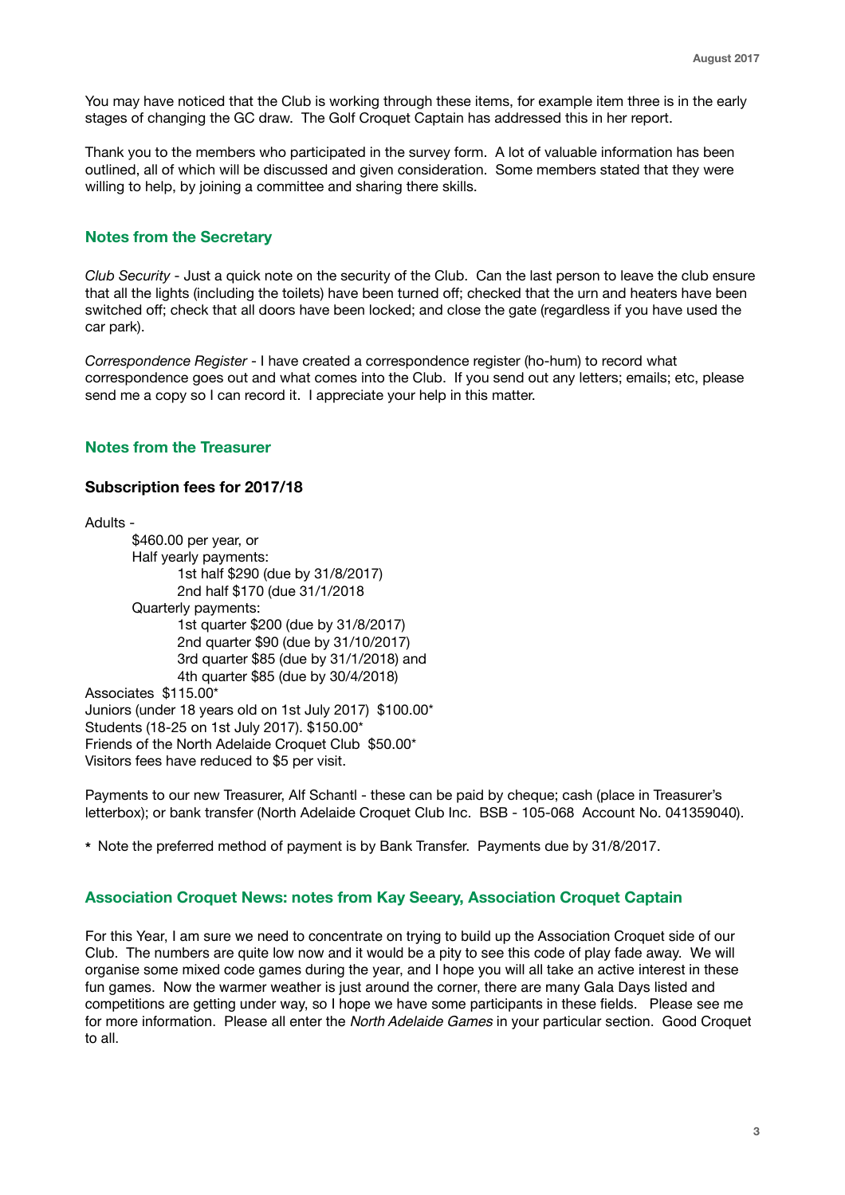You may have noticed that the Club is working through these items, for example item three is in the early stages of changing the GC draw. The Golf Croquet Captain has addressed this in her report.

Thank you to the members who participated in the survey form. A lot of valuable information has been outlined, all of which will be discussed and given consideration. Some members stated that they were willing to help, by joining a committee and sharing there skills.

### **Notes from the Secretary**

*Club Security* - Just a quick note on the security of the Club. Can the last person to leave the club ensure that all the lights (including the toilets) have been turned off; checked that the urn and heaters have been switched off; check that all doors have been locked; and close the gate (regardless if you have used the car park).

*Correspondence Register* - I have created a correspondence register (ho-hum) to record what correspondence goes out and what comes into the Club. If you send out any letters; emails; etc, please send me a copy so I can record it. I appreciate your help in this matter.

#### **Notes from the Treasurer**

#### **Subscription fees for 2017/18**

Adults -

\$460.00 per year, or Half yearly payments: 1st half \$290 (due by 31/8/2017) 2nd half \$170 (due 31/1/2018 Quarterly payments: 1st quarter \$200 (due by 31/8/2017) 2nd quarter \$90 (due by 31/10/2017) 3rd quarter \$85 (due by 31/1/2018) and 4th quarter \$85 (due by 30/4/2018) Associates \$115.00\* Juniors (under 18 years old on 1st July 2017) \$100.00\* Students (18-25 on 1st July 2017). \$150.00\* Friends of the North Adelaide Croquet Club \$50.00\* Visitors fees have reduced to \$5 per visit.

Payments to our new Treasurer, Alf Schantl - these can be paid by cheque; cash (place in Treasurer's letterbox); or bank transfer (North Adelaide Croquet Club Inc. BSB - 105-068 Account No. 041359040).

**\*** Note the preferred method of payment is by Bank Transfer. Payments due by 31/8/2017.

### **Association Croquet News: notes from Kay Seeary, Association Croquet Captain**

For this Year, I am sure we need to concentrate on trying to build up the Association Croquet side of our Club. The numbers are quite low now and it would be a pity to see this code of play fade away. We will organise some mixed code games during the year, and I hope you will all take an active interest in these fun games. Now the warmer weather is just around the corner, there are many Gala Days listed and competitions are getting under way, so I hope we have some participants in these fields. Please see me for more information. Please all enter the *North Adelaide Games* in your particular section. Good Croquet to all.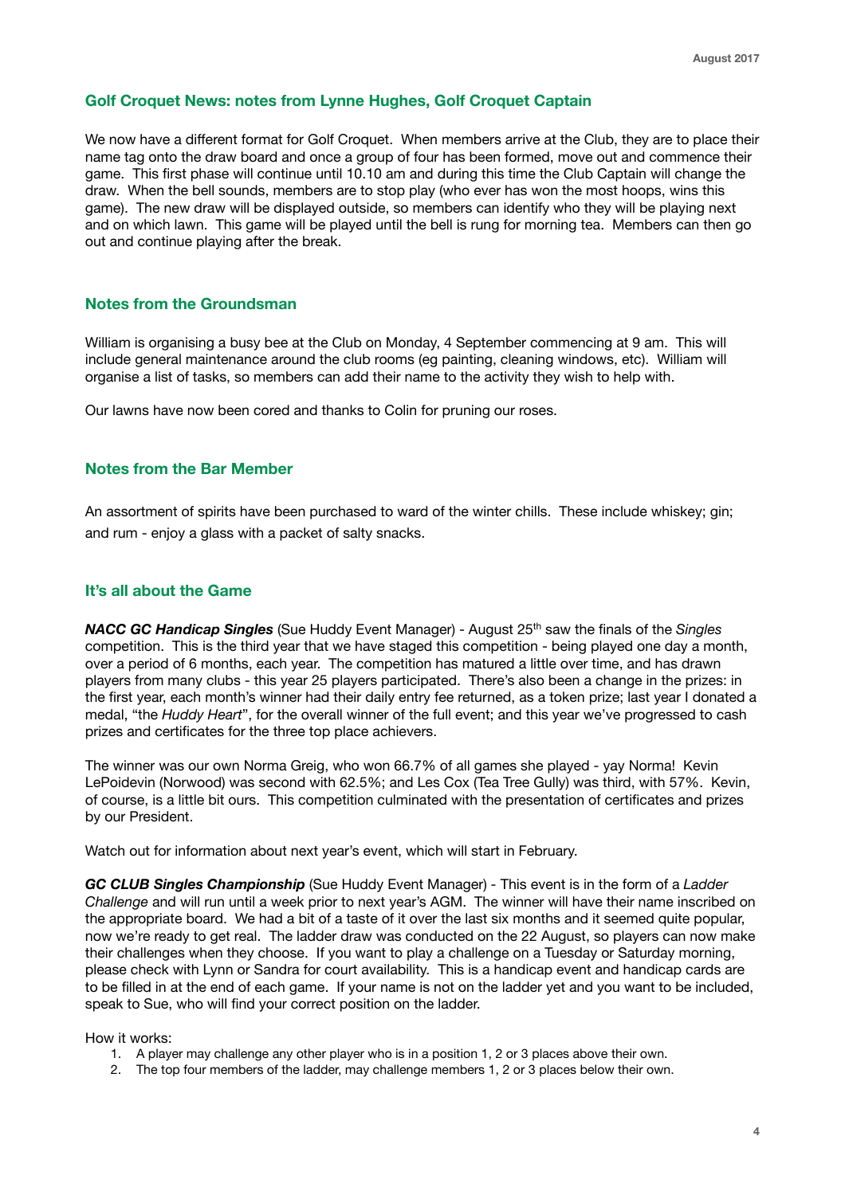#### **Golf Croquet News: notes from Lynne Hughes, Golf Croquet Captain**

We now have a different format for Golf Croquet. When members arrive at the Club, they are to place their name tag onto the draw board and once a group of four has been formed, move out and commence their game. This first phase will continue until 10.10 am and during this time the Club Captain will change the draw. When the bell sounds, members are to stop play (who ever has won the most hoops, wins this game). The new draw will be displayed outside, so members can identify who they will be playing next and on which lawn. This game will be played until the bell is rung for morning tea. Members can then go out and continue playing after the break.

## **Notes from the Groundsman**

William is organising a busy bee at the Club on Monday, 4 September commencing at 9 am. This will include general maintenance around the club rooms (eg painting, cleaning windows, etc). William will organise a list of tasks, so members can add their name to the activity they wish to help with.

Our lawns have now been cored and thanks to Colin for pruning our roses.

#### **Notes from the Bar Member**

An assortment of spirits have been purchased to ward of the winter chills. These include whiskey; gin; and rum - enjoy a glass with a packet of salty snacks.

#### **It's all about the Game**

**NACC GC Handicap Singles** (Sue Huddy Event Manager) - August 25<sup>th</sup> saw the finals of the *Singles* competition. This is the third year that we have staged this competition - being played one day a month, over a period of 6 months, each year. The competition has matured a little over time, and has drawn players from many clubs - this year 25 players participated. There's also been a change in the prizes: in the first year, each month's winner had their daily entry fee returned, as a token prize; last year I donated a medal, "the *Huddy Heart*", for the overall winner of the full event; and this year we've progressed to cash prizes and certificates for the three top place achievers.

The winner was our own Norma Greig, who won 66.7% of all games she played - yay Norma! Kevin LePoidevin (Norwood) was second with 62.5%; and Les Cox (Tea Tree Gully) was third, with 57%. Kevin, of course, is a little bit ours. This competition culminated with the presentation of certificates and prizes by our President.

Watch out for information about next year's event, which will start in February.

*GC CLUB Singles Championship* (Sue Huddy Event Manager) *-* This event is in the form of a *Ladder Challenge* and will run until a week prior to next year's AGM. The winner will have their name inscribed on the appropriate board. We had a bit of a taste of it over the last six months and it seemed quite popular, now we're ready to get real. The ladder draw was conducted on the 22 August, so players can now make their challenges when they choose. If you want to play a challenge on a Tuesday or Saturday morning, please check with Lynn or Sandra for court availability. This is a handicap event and handicap cards are to be filled in at the end of each game. If your name is not on the ladder yet and you want to be included, speak to Sue, who will find your correct position on the ladder.

How it works:

- 1. A player may challenge any other player who is in a position 1, 2 or 3 places above their own.
- 2. The top four members of the ladder, may challenge members 1, 2 or 3 places below their own.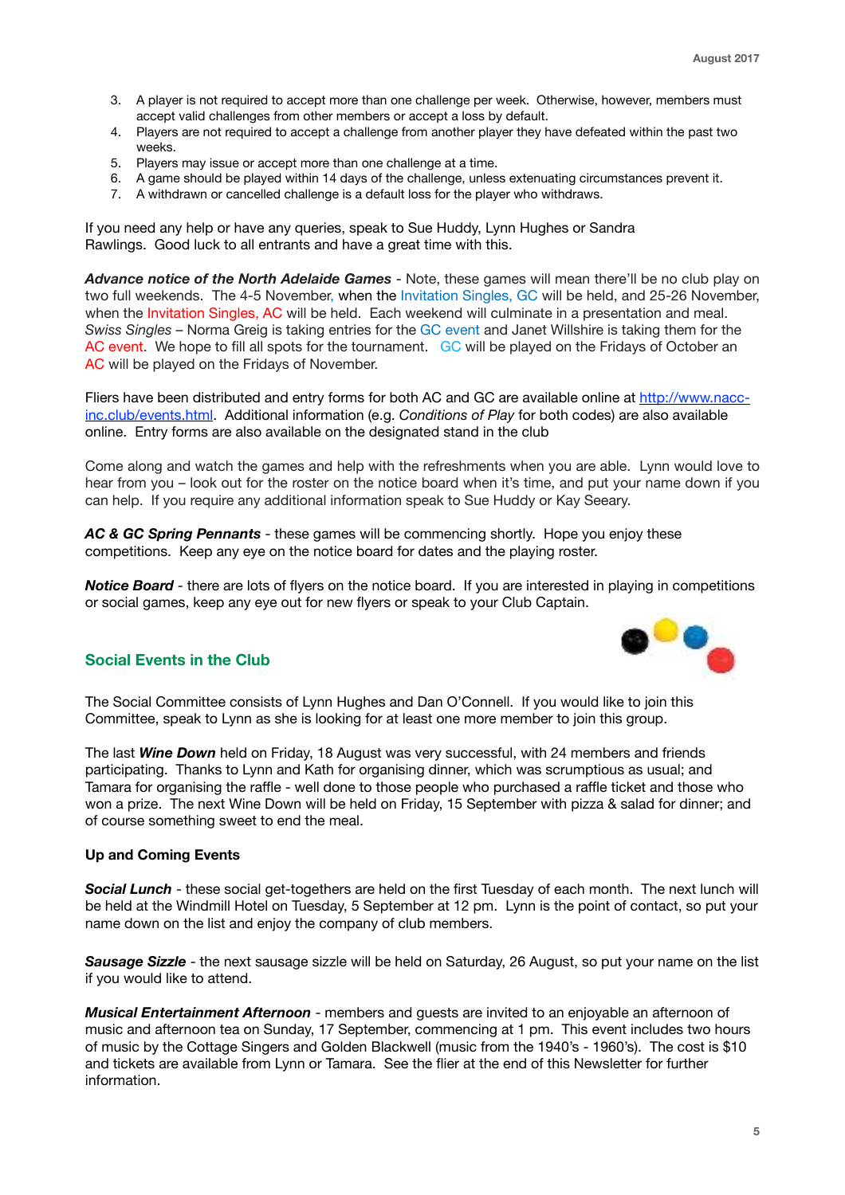- 3. A player is not required to accept more than one challenge per week. Otherwise, however, members must accept valid challenges from other members or accept a loss by default.
- 4. Players are not required to accept a challenge from another player they have defeated within the past two weeks.
- 5. Players may issue or accept more than one challenge at a time.
- 6. A game should be played within 14 days of the challenge, unless extenuating circumstances prevent it.
- 7. A withdrawn or cancelled challenge is a default loss for the player who withdraws.

If you need any help or have any queries, speak to Sue Huddy, Lynn Hughes or Sandra Rawlings. Good luck to all entrants and have a great time with this.

*Advance notice of the North Adelaide Games* - Note, these games will mean there'll be no club play on two full weekends. The 4-5 November, when the Invitation Singles, GC will be held, and 25-26 November, when the Invitation Singles, AC will be held. Each weekend will culminate in a presentation and meal. *Swiss Singles* – Norma Greig is taking entries for the GC event and Janet Willshire is taking them for the AC event. We hope to fill all spots for the tournament. GC will be played on the Fridays of October an AC will be played on the Fridays of November.

Fliers have been distributed and entry forms for both AC and GC are available online at [http://www.nacc](http://www.nacc-inc.club/events.html)[inc.club/events.html](http://www.nacc-inc.club/events.html). Additional information (e.g. *Conditions of Play* for both codes) are also available online. Entry forms are also available on the designated stand in the club

Come along and watch the games and help with the refreshments when you are able. Lynn would love to hear from you – look out for the roster on the notice board when it's time, and put your name down if you can help. If you require any additional information speak to Sue Huddy or Kay Seeary.

*AC & GC Spring Pennants* - these games will be commencing shortly. Hope you enjoy these competitions. Keep any eye on the notice board for dates and the playing roster.

*Notice Board -* there are lots of flyers on the notice board. If you are interested in playing in competitions or social games, keep any eye out for new flyers or speak to your Club Captain.



# **Social Events in the Club**

The Social Committee consists of Lynn Hughes and Dan O'Connell. If you would like to join this Committee, speak to Lynn as she is looking for at least one more member to join this group.

The last *Wine Down* held on Friday, 18 August was very successful, with 24 members and friends participating. Thanks to Lynn and Kath for organising dinner, which was scrumptious as usual; and Tamara for organising the raffle - well done to those people who purchased a raffle ticket and those who won a prize. The next Wine Down will be held on Friday, 15 September with pizza & salad for dinner; and of course something sweet to end the meal.

#### **Up and Coming Events**

*Social Lunch* - these social get-togethers are held on the first Tuesday of each month. The next lunch will be held at the Windmill Hotel on Tuesday, 5 September at 12 pm. Lynn is the point of contact, so put your name down on the list and enjoy the company of club members.

**Sausage Sizzle** - the next sausage sizzle will be held on Saturday, 26 August, so put your name on the list if you would like to attend.

*Musical Entertainment Afternoon* - members and guests are invited to an enjoyable an afternoon of music and afternoon tea on Sunday, 17 September, commencing at 1 pm. This event includes two hours of music by the Cottage Singers and Golden Blackwell (music from the 1940's - 1960's). The cost is \$10 and tickets are available from Lynn or Tamara. See the flier at the end of this Newsletter for further information.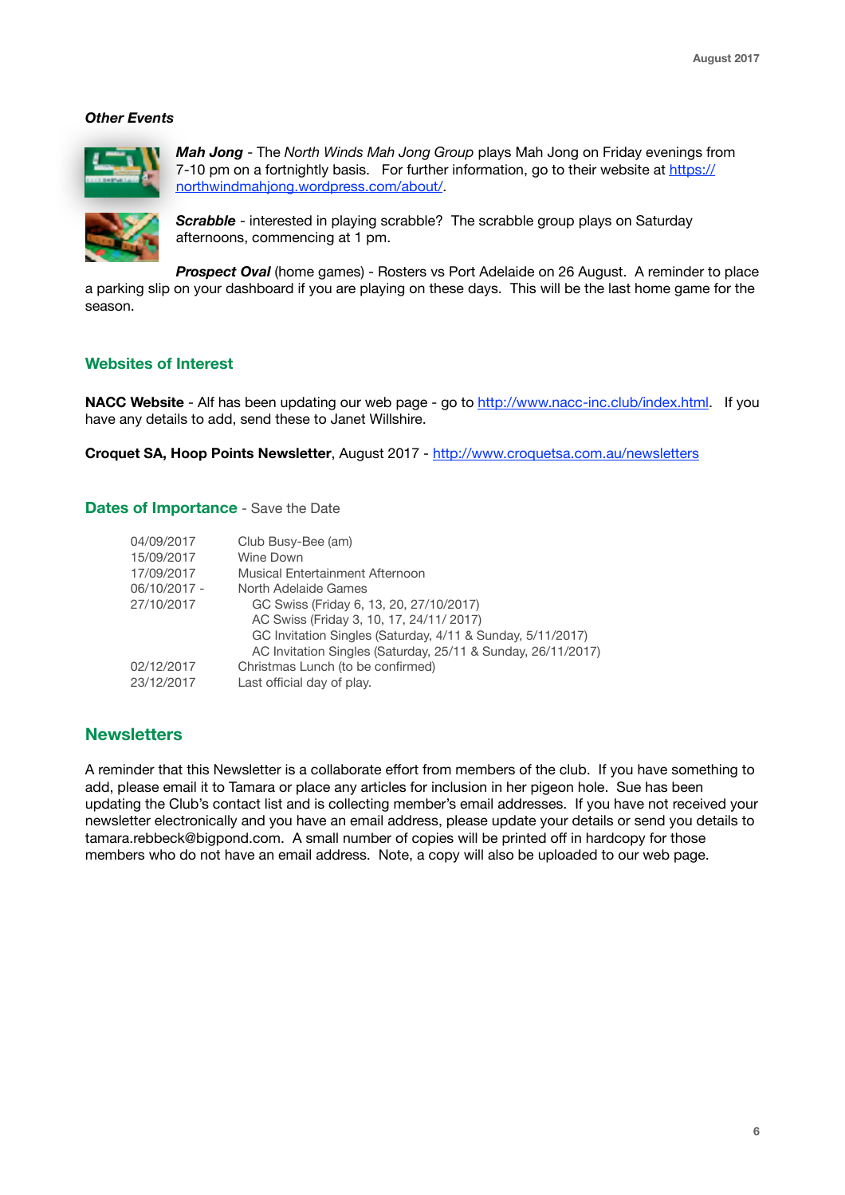#### *Other Events*



*Mah Jong* - The *North Winds Mah Jong Group* plays Mah Jong on Friday evenings from 7-10 pm on a fortnightly basis. For further information, go to their website at [https://](https://northwindmahjong.wordpress.com/about/) [northwindmahjong.wordpress.com/about/.](https://northwindmahjong.wordpress.com/about/)



**Scrabble** - interested in playing scrabble? The scrabble group plays on Saturday afternoons, commencing at 1 pm.

**Prospect Oval** (home games) - Rosters vs Port Adelaide on 26 August. A reminder to place a parking slip on your dashboard if you are playing on these days. This will be the last home game for the season.

## **Websites of Interest**

**NACC Website** - Alf has been updating our web page - go to <http://www.nacc-inc.club/index.html>. If you have any details to add, send these to Janet Willshire.

**Croquet SA, Hoop Points Newsletter**, August 2017 - <http://www.croquetsa.com.au/newsletters>

#### **Dates of Importance** - Save the Date

| 04/09/2017   | Club Busy-Bee (am)                                           |
|--------------|--------------------------------------------------------------|
| 15/09/2017   | Wine Down                                                    |
| 17/09/2017   | Musical Entertainment Afternoon                              |
| 06/10/2017 - | North Adelaide Games                                         |
| 27/10/2017   | GC Swiss (Friday 6, 13, 20, 27/10/2017)                      |
|              | AC Swiss (Friday 3, 10, 17, 24/11/ 2017)                     |
|              | GC Invitation Singles (Saturday, 4/11 & Sunday, 5/11/2017)   |
|              | AC Invitation Singles (Saturday, 25/11 & Sunday, 26/11/2017) |
| 02/12/2017   | Christmas Lunch (to be confirmed)                            |
| 23/12/2017   | Last official day of play.                                   |
|              |                                                              |

### **Newsletters**

A reminder that this Newsletter is a collaborate effort from members of the club. If you have something to add, please email it to Tamara or place any articles for inclusion in her pigeon hole. Sue has been updating the Club's contact list and is collecting member's email addresses. If you have not received your newsletter electronically and you have an email address, please update your details or send you details to [tamara.rebbeck@bigpond.com.](mailto:tamara.rebbeck@bigpond.com) A small number of copies will be printed off in hardcopy for those members who do not have an email address. Note, a copy will also be uploaded to our web page.